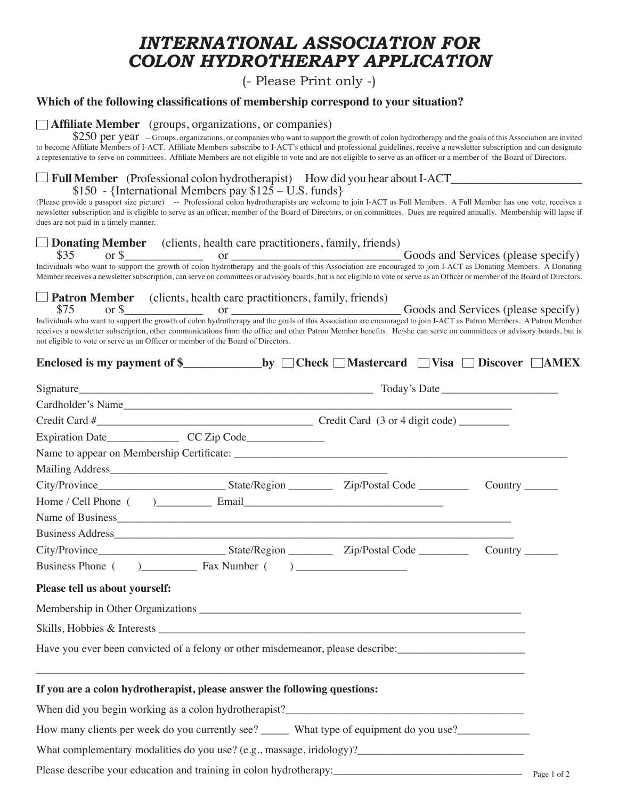## *INTERNATIONAL ASSOCIATION FOR COLON HYDROTHERAPY APPLICATION*

(- Please Print only -)

### **Which of the following classifications of membership correspond to your situation?**

#### **Affiliate Member** (groups, organizations, or companies)

\$250 per year -- Groups, organizations, or companies who want to support the growth of colon hydrotherapy and the goals of this Association are invited to become Affiliate Members of I-ACT. Affiliate Members subscribe to I-ACT's ethical and professional guidelines, receive a newsletter subscription and can designate a representative to serve on committees. Affiliate Members are not eligible to vote and are not eligible to serve as an officer or a member of the Board of Directors.

#### $\Box$  **Full Member** (Professional colon hydrotherapist) How did you hear about I-ACT \$150 - {International Members pay  $125 - U.S.$  funds}

(Please provide a passport size picture) -- Professional colon hydrotherapists are welcome to join I-ACT as Full Members. A Full Member has one vote, receives a newsletter subscription and is eligible to serve as an officer, member of the Board of Directors, or on committees. Dues are required annually. Membership will lapse if dues are not paid in a timely manner.

# **Donating Member** (clients, health care practitioners, family, friends) \$35 or \$\_\_\_\_\_\_\_\_\_\_\_\_\_ or \_\_\_\_\_\_\_\_\_\_\_\_\_\_\_\_\_\_\_\_\_\_\_\_\_\_\_\_ Goods and Services (please specify)

Individuals who want to support the growth of colon hydrotherapy and the goals of this Association are encouraged to join I-ACT as Donating Members. A Donating Member receives a newsletter subscription, can serve on committees or advisory boards, but is not eligible to vote or serve as an Officer or member of the Board of Directors.

 **Patron Member** (clients, health care practitioners, family, friends)

 \$75 or \$\_\_\_\_\_\_\_\_\_\_\_\_\_ or \_\_\_\_\_\_\_\_\_\_\_\_\_\_\_\_\_\_\_\_\_\_\_\_\_\_\_\_ Goods and Services (please specify) Individuals who want to support the growth of colon hydrotherapy and the goals of this Association are encouraged to join I-ACT as Patron Members. A Patron Member receives a newsletter subscription, other communications from the office and other Patron Member benefits. He/she can serve on committees or advisory boards, but is not eligible to vote or serve as an Officer or member of the Board of Directors.

| Cardholder's Name                                                                                              |  |  |  |
|----------------------------------------------------------------------------------------------------------------|--|--|--|
|                                                                                                                |  |  |  |
| Expiration Date____________________CC Zip Code___________________________________                              |  |  |  |
|                                                                                                                |  |  |  |
|                                                                                                                |  |  |  |
|                                                                                                                |  |  |  |
|                                                                                                                |  |  |  |
|                                                                                                                |  |  |  |
|                                                                                                                |  |  |  |
|                                                                                                                |  |  |  |
|                                                                                                                |  |  |  |
| Please tell us about yourself:                                                                                 |  |  |  |
|                                                                                                                |  |  |  |
|                                                                                                                |  |  |  |
| Have you ever been convicted of a felony or other misdemeanor, please describe: ______________________________ |  |  |  |
| If you are a colon hydrotherapist, please answer the following questions:                                      |  |  |  |
| When did you begin working as a colon hydrotherapist?                                                          |  |  |  |
| How many clients per week do you currently see? ______ What type of equipment do you use?                      |  |  |  |
|                                                                                                                |  |  |  |
| Please describe your education and training in colon hydrotherapy:<br>Page 1 of 2                              |  |  |  |